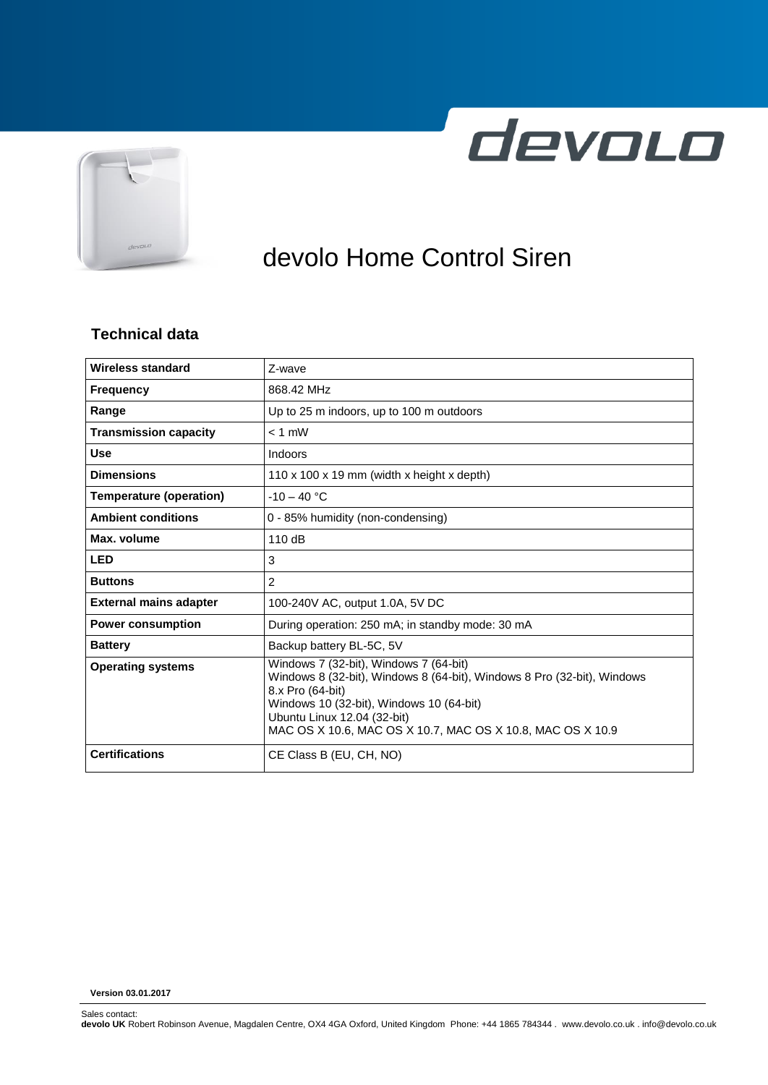



# devolo Home Control Siren

#### **Technical data**

| <b>Wireless standard</b>       | Z-wave                                                                                                                                                                                                                                                                         |  |
|--------------------------------|--------------------------------------------------------------------------------------------------------------------------------------------------------------------------------------------------------------------------------------------------------------------------------|--|
| <b>Frequency</b>               | 868.42 MHz                                                                                                                                                                                                                                                                     |  |
| Range                          | Up to 25 m indoors, up to 100 m outdoors                                                                                                                                                                                                                                       |  |
| <b>Transmission capacity</b>   | $< 1$ mW                                                                                                                                                                                                                                                                       |  |
| <b>Use</b>                     | Indoors                                                                                                                                                                                                                                                                        |  |
| <b>Dimensions</b>              | 110 x 100 x 19 mm (width x height x depth)                                                                                                                                                                                                                                     |  |
| <b>Temperature (operation)</b> | $-10 - 40 °C$                                                                                                                                                                                                                                                                  |  |
| <b>Ambient conditions</b>      | 0 - 85% humidity (non-condensing)                                                                                                                                                                                                                                              |  |
| Max. volume                    | 110 dB                                                                                                                                                                                                                                                                         |  |
| <b>LED</b>                     | 3                                                                                                                                                                                                                                                                              |  |
| <b>Buttons</b>                 | $\overline{2}$                                                                                                                                                                                                                                                                 |  |
| <b>External mains adapter</b>  | 100-240V AC, output 1.0A, 5V DC                                                                                                                                                                                                                                                |  |
| <b>Power consumption</b>       | During operation: 250 mA; in standby mode: 30 mA                                                                                                                                                                                                                               |  |
| <b>Battery</b>                 | Backup battery BL-5C, 5V                                                                                                                                                                                                                                                       |  |
| <b>Operating systems</b>       | Windows 7 (32-bit), Windows 7 (64-bit)<br>Windows 8 (32-bit), Windows 8 (64-bit), Windows 8 Pro (32-bit), Windows<br>8.x Pro (64-bit)<br>Windows 10 (32-bit), Windows 10 (64-bit)<br>Ubuntu Linux 12.04 (32-bit)<br>MAC OS X 10.6. MAC OS X 10.7. MAC OS X 10.8. MAC OS X 10.9 |  |
| <b>Certifications</b>          | CE Class B (EU, CH, NO)                                                                                                                                                                                                                                                        |  |

**Version 03.01.2017**

Sales contact:

**devolo UK** Robert Robinson Avenue, Magdalen Centre, OX4 4GA Oxford, United Kingdom Phone: +44 1865 784344 . www.devolo.co.uk . info@devolo.co.uk